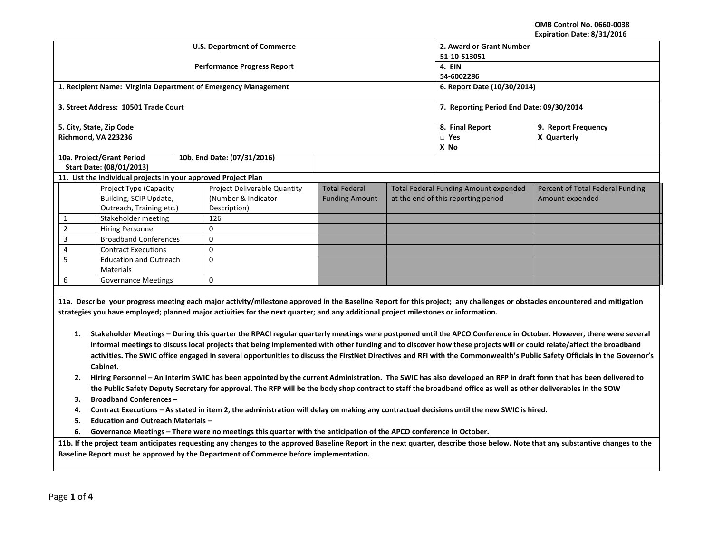**OMB Control No. 0660‐0038 Expiration Date: 8/31/2016**

|                                                                                                                                                                        |                                                                                                                                                                                                                                                                                                                                    |  | <b>U.S. Department of Commerce</b>                             | LAPIT QUOIT DATE. 07 JIJ LOIT<br>2. Award or Grant Number |                    |                                              |                                                                                                                                                                                 |  |  |
|------------------------------------------------------------------------------------------------------------------------------------------------------------------------|------------------------------------------------------------------------------------------------------------------------------------------------------------------------------------------------------------------------------------------------------------------------------------------------------------------------------------|--|----------------------------------------------------------------|-----------------------------------------------------------|--------------------|----------------------------------------------|---------------------------------------------------------------------------------------------------------------------------------------------------------------------------------|--|--|
|                                                                                                                                                                        |                                                                                                                                                                                                                                                                                                                                    |  | <b>Performance Progress Report</b>                             | 51-10-S13051<br>4. EIN                                    |                    |                                              |                                                                                                                                                                                 |  |  |
|                                                                                                                                                                        |                                                                                                                                                                                                                                                                                                                                    |  |                                                                | 54-6002286                                                |                    |                                              |                                                                                                                                                                                 |  |  |
|                                                                                                                                                                        |                                                                                                                                                                                                                                                                                                                                    |  | 1. Recipient Name: Virginia Department of Emergency Management | 6. Report Date (10/30/2014)                               |                    |                                              |                                                                                                                                                                                 |  |  |
|                                                                                                                                                                        | 3. Street Address: 10501 Trade Court                                                                                                                                                                                                                                                                                               |  |                                                                | 7. Reporting Period End Date: 09/30/2014                  |                    |                                              |                                                                                                                                                                                 |  |  |
|                                                                                                                                                                        | 5. City, State, Zip Code                                                                                                                                                                                                                                                                                                           |  |                                                                |                                                           | 8. Final Report    | 9. Report Frequency                          |                                                                                                                                                                                 |  |  |
|                                                                                                                                                                        | Richmond, VA 223236                                                                                                                                                                                                                                                                                                                |  |                                                                |                                                           | $\Box$ Yes<br>X No | X Quarterly                                  |                                                                                                                                                                                 |  |  |
|                                                                                                                                                                        | 10a. Project/Grant Period                                                                                                                                                                                                                                                                                                          |  | 10b. End Date: (07/31/2016)                                    |                                                           |                    |                                              |                                                                                                                                                                                 |  |  |
|                                                                                                                                                                        | Start Date: (08/01/2013)                                                                                                                                                                                                                                                                                                           |  |                                                                |                                                           |                    |                                              |                                                                                                                                                                                 |  |  |
|                                                                                                                                                                        | 11. List the individual projects in your approved Project Plan                                                                                                                                                                                                                                                                     |  |                                                                |                                                           |                    |                                              |                                                                                                                                                                                 |  |  |
|                                                                                                                                                                        | Project Type (Capacity                                                                                                                                                                                                                                                                                                             |  | <b>Project Deliverable Quantity</b>                            | <b>Total Federal</b>                                      |                    | <b>Total Federal Funding Amount expended</b> | Percent of Total Federal Funding                                                                                                                                                |  |  |
|                                                                                                                                                                        | Building, SCIP Update,<br>Outreach, Training etc.)                                                                                                                                                                                                                                                                                 |  | (Number & Indicator<br>Description)                            | <b>Funding Amount</b>                                     |                    | at the end of this reporting period          | Amount expended                                                                                                                                                                 |  |  |
| $\mathbf{1}$                                                                                                                                                           |                                                                                                                                                                                                                                                                                                                                    |  | 126                                                            |                                                           |                    |                                              |                                                                                                                                                                                 |  |  |
| $\overline{2}$                                                                                                                                                         | Stakeholder meeting<br>Hiring Personnel                                                                                                                                                                                                                                                                                            |  | $\Omega$                                                       |                                                           |                    |                                              |                                                                                                                                                                                 |  |  |
| $\overline{3}$                                                                                                                                                         | <b>Broadband Conferences</b>                                                                                                                                                                                                                                                                                                       |  | $\Omega$                                                       |                                                           |                    |                                              |                                                                                                                                                                                 |  |  |
| 4                                                                                                                                                                      | <b>Contract Executions</b>                                                                                                                                                                                                                                                                                                         |  | 0                                                              |                                                           |                    |                                              |                                                                                                                                                                                 |  |  |
| 5                                                                                                                                                                      | <b>Education and Outreach</b>                                                                                                                                                                                                                                                                                                      |  | 0                                                              |                                                           |                    |                                              |                                                                                                                                                                                 |  |  |
|                                                                                                                                                                        | <b>Materials</b>                                                                                                                                                                                                                                                                                                                   |  |                                                                |                                                           |                    |                                              |                                                                                                                                                                                 |  |  |
| 6                                                                                                                                                                      | <b>Governance Meetings</b>                                                                                                                                                                                                                                                                                                         |  | 0                                                              |                                                           |                    |                                              |                                                                                                                                                                                 |  |  |
|                                                                                                                                                                        |                                                                                                                                                                                                                                                                                                                                    |  |                                                                |                                                           |                    |                                              |                                                                                                                                                                                 |  |  |
|                                                                                                                                                                        |                                                                                                                                                                                                                                                                                                                                    |  |                                                                |                                                           |                    |                                              | 11a. Describe your progress meeting each major activity/milestone approved in the Baseline Report for this project; any challenges or obstacles encountered and mitigation      |  |  |
| strategies you have employed; planned major activities for the next quarter; and any additional project milestones or information.                                     |                                                                                                                                                                                                                                                                                                                                    |  |                                                                |                                                           |                    |                                              |                                                                                                                                                                                 |  |  |
|                                                                                                                                                                        |                                                                                                                                                                                                                                                                                                                                    |  |                                                                |                                                           |                    |                                              |                                                                                                                                                                                 |  |  |
| Stakeholder Meetings – During this quarter the RPACI regular quarterly meetings were postponed until the APCO Conference in October. However, there were several<br>1. |                                                                                                                                                                                                                                                                                                                                    |  |                                                                |                                                           |                    |                                              |                                                                                                                                                                                 |  |  |
|                                                                                                                                                                        |                                                                                                                                                                                                                                                                                                                                    |  |                                                                |                                                           |                    |                                              | informal meetings to discuss local projects that being implemented with other funding and to discover how these projects will or could relate/affect the broadband              |  |  |
|                                                                                                                                                                        |                                                                                                                                                                                                                                                                                                                                    |  |                                                                |                                                           |                    |                                              | activities. The SWIC office engaged in several opportunities to discuss the FirstNet Directives and RFI with the Commonwealth's Public Safety Officials in the Governor's       |  |  |
|                                                                                                                                                                        | Cabinet.                                                                                                                                                                                                                                                                                                                           |  |                                                                |                                                           |                    |                                              |                                                                                                                                                                                 |  |  |
| 2.                                                                                                                                                                     |                                                                                                                                                                                                                                                                                                                                    |  |                                                                |                                                           |                    |                                              |                                                                                                                                                                                 |  |  |
|                                                                                                                                                                        | Hiring Personnel - An Interim SWIC has been appointed by the current Administration. The SWIC has also developed an RFP in draft form that has been delivered to<br>the Public Safety Deputy Secretary for approval. The RFP will be the body shop contract to staff the broadband office as well as other deliverables in the SOW |  |                                                                |                                                           |                    |                                              |                                                                                                                                                                                 |  |  |
| <b>Broadband Conferences -</b><br>з.                                                                                                                                   |                                                                                                                                                                                                                                                                                                                                    |  |                                                                |                                                           |                    |                                              |                                                                                                                                                                                 |  |  |
| Contract Executions – As stated in item 2, the administration will delay on making any contractual decisions until the new SWIC is hired.<br>4.                        |                                                                                                                                                                                                                                                                                                                                    |  |                                                                |                                                           |                    |                                              |                                                                                                                                                                                 |  |  |
| 5.                                                                                                                                                                     | <b>Education and Outreach Materials -</b>                                                                                                                                                                                                                                                                                          |  |                                                                |                                                           |                    |                                              |                                                                                                                                                                                 |  |  |
| 6.                                                                                                                                                                     | Governance Meetings - There were no meetings this quarter with the anticipation of the APCO conference in October.                                                                                                                                                                                                                 |  |                                                                |                                                           |                    |                                              |                                                                                                                                                                                 |  |  |
|                                                                                                                                                                        |                                                                                                                                                                                                                                                                                                                                    |  |                                                                |                                                           |                    |                                              | 11b. If the project team anticipates requesting any changes to the approved Baseline Report in the next quarter, describe those below. Note that any substantive changes to the |  |  |
|                                                                                                                                                                        |                                                                                                                                                                                                                                                                                                                                    |  |                                                                |                                                           |                    |                                              |                                                                                                                                                                                 |  |  |
|                                                                                                                                                                        | Baseline Report must be approved by the Department of Commerce before implementation.                                                                                                                                                                                                                                              |  |                                                                |                                                           |                    |                                              |                                                                                                                                                                                 |  |  |
|                                                                                                                                                                        |                                                                                                                                                                                                                                                                                                                                    |  |                                                                |                                                           |                    |                                              |                                                                                                                                                                                 |  |  |
|                                                                                                                                                                        |                                                                                                                                                                                                                                                                                                                                    |  |                                                                |                                                           |                    |                                              |                                                                                                                                                                                 |  |  |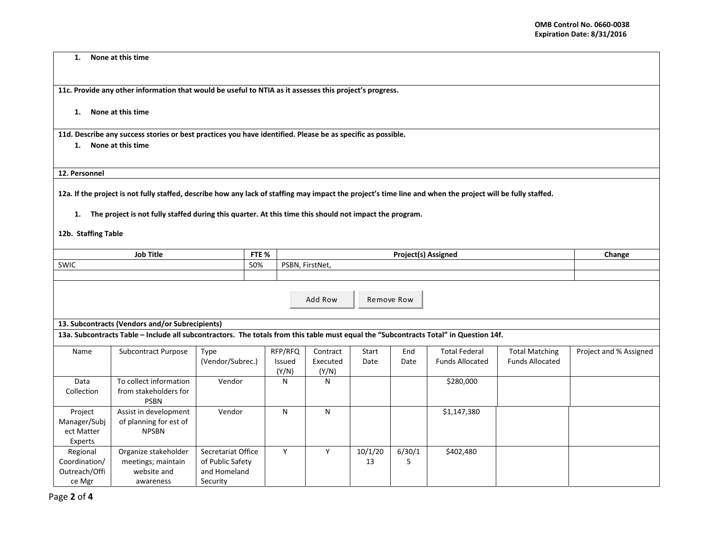**1.None at this time**

**11c. Provide any other information that would be useful to NTIA as it assesses this project's progress.**

**1. None at this time**

11d. Describe any success stories or best practices you have identified. Please be as specific as possible.

**1. None at this time**

**12. Personnel**

12a. If the project is not fully staffed, describe how any lack of staffing may impact the project's time line and when the project will be fully staffed.

1. The project is not fully staffed during this quarter. At this time this should not impact the program.

**12b. Staffing Table**

| <b>Job Title</b>                                                                                                                      |                            | FTE %              |         |                 | Change  |        |                        |                        |                        |
|---------------------------------------------------------------------------------------------------------------------------------------|----------------------------|--------------------|---------|-----------------|---------|--------|------------------------|------------------------|------------------------|
| <b>SWIC</b>                                                                                                                           |                            | 50%                |         | PSBN, FirstNet, |         |        |                        |                        |                        |
|                                                                                                                                       |                            |                    |         |                 |         |        |                        |                        |                        |
|                                                                                                                                       |                            |                    |         |                 |         |        |                        |                        |                        |
|                                                                                                                                       |                            |                    |         |                 |         |        |                        |                        |                        |
|                                                                                                                                       | Add Row<br>Remove Row      |                    |         |                 |         |        |                        |                        |                        |
|                                                                                                                                       |                            |                    |         |                 |         |        |                        |                        |                        |
| 13. Subcontracts (Vendors and/or Subrecipients)                                                                                       |                            |                    |         |                 |         |        |                        |                        |                        |
| 13a. Subcontracts Table - Include all subcontractors. The totals from this table must equal the "Subcontracts Total" in Question 14f. |                            |                    |         |                 |         |        |                        |                        |                        |
|                                                                                                                                       |                            |                    |         |                 |         |        |                        |                        |                        |
| Name                                                                                                                                  | <b>Subcontract Purpose</b> | Type               | RFP/RFQ | Contract        | Start   | End    | <b>Total Federal</b>   | <b>Total Matching</b>  | Project and % Assigned |
|                                                                                                                                       |                            | (Vendor/Subrec.)   | Issued  | Executed        | Date    | Date   | <b>Funds Allocated</b> | <b>Funds Allocated</b> |                        |
|                                                                                                                                       |                            |                    | (Y/N)   | (Y/N)           |         |        |                        |                        |                        |
| Data                                                                                                                                  | To collect information     | Vendor             | N       | N               |         |        | \$280,000              |                        |                        |
| Collection                                                                                                                            | from stakeholders for      |                    |         |                 |         |        |                        |                        |                        |
|                                                                                                                                       | <b>PSBN</b>                |                    |         |                 |         |        |                        |                        |                        |
| Project                                                                                                                               | Assist in development      | Vendor             | N       | N               |         |        | \$1,147,380            |                        |                        |
| Manager/Subj                                                                                                                          | of planning for est of     |                    |         |                 |         |        |                        |                        |                        |
| ect Matter                                                                                                                            | <b>NPSBN</b>               |                    |         |                 |         |        |                        |                        |                        |
| Experts                                                                                                                               |                            |                    |         |                 |         |        |                        |                        |                        |
| Regional                                                                                                                              | Organize stakeholder       | Secretariat Office | Y       | Y               | 10/1/20 | 6/30/1 | \$402,480              |                        |                        |
| Coordination/                                                                                                                         | meetings; maintain         | of Public Safety   |         |                 | 13      | 5      |                        |                        |                        |
| Outreach/Offi                                                                                                                         | website and                | and Homeland       |         |                 |         |        |                        |                        |                        |
| ce Mgr                                                                                                                                | awareness                  | Security           |         |                 |         |        |                        |                        |                        |
|                                                                                                                                       |                            |                    |         |                 |         |        |                        |                        |                        |
| age $2$ of $4$                                                                                                                        |                            |                    |         |                 |         |        |                        |                        |                        |

Page **2** of **4**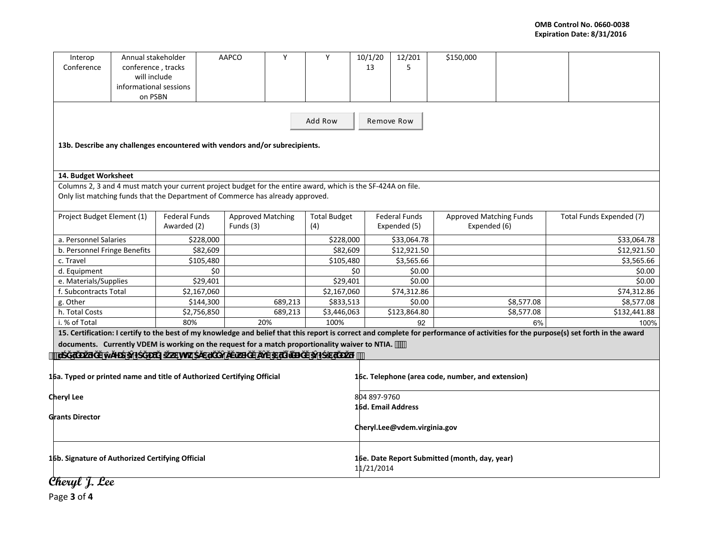| Interop                                                                                                       | Annual stakeholder                |                      | <b>AAPCO</b> | Y                                               | Y           | 10/1/20      | 12/201                                        | \$150,000                                         |            |                                                                                                                                                                                      |  |  |
|---------------------------------------------------------------------------------------------------------------|-----------------------------------|----------------------|--------------|-------------------------------------------------|-------------|--------------|-----------------------------------------------|---------------------------------------------------|------------|--------------------------------------------------------------------------------------------------------------------------------------------------------------------------------------|--|--|
| Conference                                                                                                    | conference, tracks                |                      |              |                                                 |             | 13           | 5                                             |                                                   |            |                                                                                                                                                                                      |  |  |
|                                                                                                               | will include                      |                      |              |                                                 |             |              |                                               |                                                   |            |                                                                                                                                                                                      |  |  |
|                                                                                                               | informational sessions<br>on PSBN |                      |              |                                                 |             |              |                                               |                                                   |            |                                                                                                                                                                                      |  |  |
|                                                                                                               |                                   |                      |              |                                                 |             |              |                                               |                                                   |            |                                                                                                                                                                                      |  |  |
|                                                                                                               |                                   |                      |              |                                                 | Add Row     |              |                                               |                                                   |            |                                                                                                                                                                                      |  |  |
|                                                                                                               |                                   |                      |              |                                                 |             | Remove Row   |                                               |                                                   |            |                                                                                                                                                                                      |  |  |
|                                                                                                               |                                   |                      |              |                                                 |             |              |                                               |                                                   |            |                                                                                                                                                                                      |  |  |
| 13b. Describe any challenges encountered with vendors and/or subrecipients.                                   |                                   |                      |              |                                                 |             |              |                                               |                                                   |            |                                                                                                                                                                                      |  |  |
|                                                                                                               |                                   |                      |              |                                                 |             |              |                                               |                                                   |            |                                                                                                                                                                                      |  |  |
| 14. Budget Worksheet                                                                                          |                                   |                      |              |                                                 |             |              |                                               |                                                   |            |                                                                                                                                                                                      |  |  |
| Columns 2, 3 and 4 must match your current project budget for the entire award, which is the SF-424A on file. |                                   |                      |              |                                                 |             |              |                                               |                                                   |            |                                                                                                                                                                                      |  |  |
| Only list matching funds that the Department of Commerce has already approved.                                |                                   |                      |              |                                                 |             |              |                                               |                                                   |            |                                                                                                                                                                                      |  |  |
|                                                                                                               |                                   |                      |              |                                                 |             |              |                                               |                                                   |            |                                                                                                                                                                                      |  |  |
| Project Budget Element (1)                                                                                    |                                   | <b>Federal Funds</b> |              | <b>Approved Matching</b><br><b>Total Budget</b> |             |              | <b>Federal Funds</b>                          | Approved Matching Funds                           |            | Total Funds Expended (7)                                                                                                                                                             |  |  |
|                                                                                                               |                                   | Awarded (2)          | Funds (3)    |                                                 | (4)         |              | Expended (5)                                  | Expended (6)                                      |            |                                                                                                                                                                                      |  |  |
| a. Personnel Salaries                                                                                         |                                   | \$228,000            |              |                                                 | \$228,000   |              | \$33,064.78                                   |                                                   |            | \$33,064.78                                                                                                                                                                          |  |  |
| b. Personnel Fringe Benefits                                                                                  |                                   |                      | \$82,609     |                                                 |             | \$82,609     | \$12,921.50                                   |                                                   |            | \$12,921.50                                                                                                                                                                          |  |  |
| c. Travel                                                                                                     |                                   | \$105,480            |              |                                                 | \$105,480   |              | \$3,565.66                                    |                                                   |            | \$3,565.66                                                                                                                                                                           |  |  |
| d. Equipment                                                                                                  |                                   |                      | \$0          |                                                 |             | \$0          | \$0.00                                        |                                                   |            | \$0.00                                                                                                                                                                               |  |  |
| e. Materials/Supplies                                                                                         |                                   |                      | \$29,401     |                                                 | \$29,401    |              | \$0.00                                        |                                                   |            | \$0.00                                                                                                                                                                               |  |  |
| f. Subcontracts Total                                                                                         |                                   | \$2,167,060          |              |                                                 | \$2,167,060 |              | \$74,312.86                                   |                                                   |            | \$74,312.86                                                                                                                                                                          |  |  |
| g. Other                                                                                                      |                                   | \$144,300            |              | 689,213                                         | \$833,513   |              | \$0.00                                        |                                                   | \$8,577.08 | \$8,577.08                                                                                                                                                                           |  |  |
| h. Total Costs                                                                                                |                                   | \$2,756,850          |              | 689,213                                         | \$3,446,063 |              | \$123,864.80                                  |                                                   | \$8,577.08 | \$132,441.88                                                                                                                                                                         |  |  |
| i. % of Total                                                                                                 |                                   | 80%                  |              | 20%                                             | 100%        |              | 92                                            |                                                   | 6%         | 100%                                                                                                                                                                                 |  |  |
|                                                                                                               |                                   |                      |              |                                                 |             |              |                                               |                                                   |            | 15. Certification: I certify to the best of my knowledge and belief that this report is correct and complete for performance of activities for the purpose(s) set forth in the award |  |  |
| documents. Currently VDEM is working on the request for a match proportionality waiver to NTIA. ""            |                                   |                      |              |                                                 |             |              |                                               |                                                   |            |                                                                                                                                                                                      |  |  |
| ้น                                                                                                            |                                   | hhk <sup>'</sup>     |              |                                                 |             |              |                                               |                                                   |            |                                                                                                                                                                                      |  |  |
|                                                                                                               |                                   |                      |              |                                                 |             |              |                                               |                                                   |            |                                                                                                                                                                                      |  |  |
| 16a. Typed or printed name and title of Authorized Certifying Official                                        |                                   |                      |              |                                                 |             |              |                                               | 16c. Telephone (area code, number, and extension) |            |                                                                                                                                                                                      |  |  |
| Cheryl Lee                                                                                                    |                                   |                      |              |                                                 |             | 804 897-9760 |                                               |                                                   |            |                                                                                                                                                                                      |  |  |
|                                                                                                               |                                   |                      |              |                                                 |             |              | 16d. Email Address                            |                                                   |            |                                                                                                                                                                                      |  |  |
| <b>Grants Director</b>                                                                                        |                                   |                      |              |                                                 |             |              |                                               |                                                   |            |                                                                                                                                                                                      |  |  |
|                                                                                                               |                                   |                      |              |                                                 |             |              | Cheryl.Lee@vdem.virginia.gov                  |                                                   |            |                                                                                                                                                                                      |  |  |
|                                                                                                               |                                   |                      |              |                                                 |             |              |                                               |                                                   |            |                                                                                                                                                                                      |  |  |
|                                                                                                               |                                   |                      |              |                                                 |             |              |                                               |                                                   |            |                                                                                                                                                                                      |  |  |
| 16b. Signature of Authorized Certifying Official                                                              |                                   |                      |              |                                                 |             |              | 16e. Date Report Submitted (month, day, year) |                                                   |            |                                                                                                                                                                                      |  |  |
|                                                                                                               |                                   |                      |              |                                                 |             |              |                                               | 11/21/2014                                        |            |                                                                                                                                                                                      |  |  |
| $\alpha$ and $\alpha$                                                                                         |                                   |                      |              |                                                 |             |              |                                               |                                                   |            |                                                                                                                                                                                      |  |  |